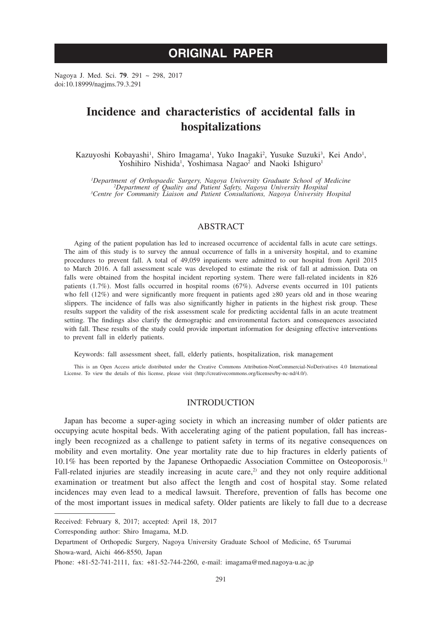# **ORIGINAL PAPER**

Nagoya J. Med. Sci. **79**. 291 ~ 298, 2017 doi:10.18999/nagjms.79.3.291

## **Incidence and characteristics of accidental falls in hospitalizations**

Kazuyoshi Kobayashi<sup>1</sup>, Shiro Imagama<sup>1</sup>, Yuko Inagaki<sup>2</sup>, Yusuke Suzuki<sup>3</sup>, Kei Ando<sup>1</sup>, Yoshihiro Nishida<sup>1</sup>, Yoshimasa Nagao<sup>2</sup> and Naoki Ishiguro<sup>1</sup>

<sup>1</sup>Department of Orthopaedic Surgery, Nagoya University Graduate School of Medicine<br><sup>2</sup>Department of Quality and Patient Safety, Nagoya University Hospital<br><sup>3</sup>Centre for Community Liaison and Patient Consultations, Nagoya

## ABSTRACT

Aging of the patient population has led to increased occurrence of accidental falls in acute care settings. The aim of this study is to survey the annual occurrence of falls in a university hospital, and to examine procedures to prevent fall. A total of 49,059 inpatients were admitted to our hospital from April 2015 to March 2016. A fall assessment scale was developed to estimate the risk of fall at admission. Data on falls were obtained from the hospital incident reporting system. There were fall-related incidents in 826 patients (1.7%). Most falls occurred in hospital rooms (67%). Adverse events occurred in 101 patients who fell (12%) and were significantly more frequent in patients aged ≥80 years old and in those wearing slippers. The incidence of falls was also significantly higher in patients in the highest risk group. These results support the validity of the risk assessment scale for predicting accidental falls in an acute treatment setting. The findings also clarify the demographic and environmental factors and consequences associated with fall. These results of the study could provide important information for designing effective interventions to prevent fall in elderly patients.

Keywords: fall assessment sheet, fall, elderly patients, hospitalization, risk management

This is an Open Access article distributed under the Creative Commons Attribution-NonCommercial-NoDerivatives 4.0 International License. To view the details of this license, please visit (http://creativecommons.org/licenses/by-nc-nd/4.0/).

## INTRODUCTION

Japan has become a super-aging society in which an increasing number of older patients are occupying acute hospital beds. With accelerating aging of the patient population, fall has increasingly been recognized as a challenge to patient safety in terms of its negative consequences on mobility and even mortality. One year mortality rate due to hip fractures in elderly patients of 10.1% has been reported by the Japanese Orthopaedic Association Committee on Osteoporosis.1) Fall-related injuries are steadily increasing in acute care,<sup>2)</sup> and they not only require additional examination or treatment but also affect the length and cost of hospital stay. Some related incidences may even lead to a medical lawsuit. Therefore, prevention of falls has become one of the most important issues in medical safety. Older patients are likely to fall due to a decrease

Corresponding author: Shiro Imagama, M.D.

Received: February 8, 2017; accepted: April 18, 2017

Department of Orthopedic Surgery, Nagoya University Graduate School of Medicine, 65 Tsurumai Showa-ward, Aichi 466-8550, Japan

Phone: +81-52-741-2111, fax: +81-52-744-2260, e-mail: imagama@med.nagoya-u.ac.jp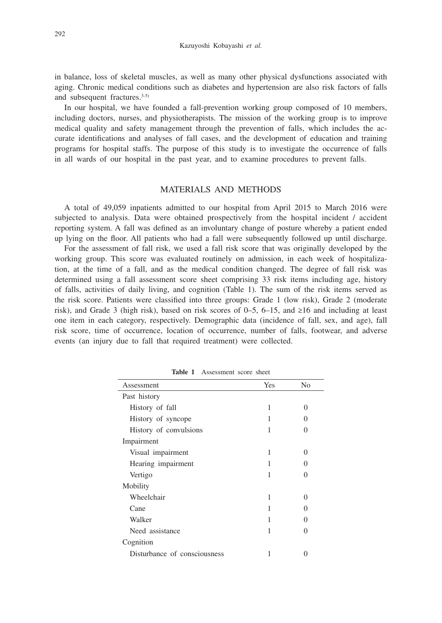in balance, loss of skeletal muscles, as well as many other physical dysfunctions associated with aging. Chronic medical conditions such as diabetes and hypertension are also risk factors of falls and subsequent fractures.<sup>3-5)</sup>

In our hospital, we have founded a fall-prevention working group composed of 10 members, including doctors, nurses, and physiotherapists. The mission of the working group is to improve medical quality and safety management through the prevention of falls, which includes the accurate identifications and analyses of fall cases, and the development of education and training programs for hospital staffs. The purpose of this study is to investigate the occurrence of falls in all wards of our hospital in the past year, and to examine procedures to prevent falls.

## MATERIALS AND METHODS

A total of 49,059 inpatients admitted to our hospital from April 2015 to March 2016 were subjected to analysis. Data were obtained prospectively from the hospital incident / accident reporting system. A fall was defined as an involuntary change of posture whereby a patient ended up lying on the floor. All patients who had a fall were subsequently followed up until discharge.

For the assessment of fall risk, we used a fall risk score that was originally developed by the working group. This score was evaluated routinely on admission, in each week of hospitalization, at the time of a fall, and as the medical condition changed. The degree of fall risk was determined using a fall assessment score sheet comprising 33 risk items including age, history of falls, activities of daily living, and cognition (Table 1). The sum of the risk items served as the risk score. Patients were classified into three groups: Grade 1 (low risk), Grade 2 (moderate risk), and Grade 3 (high risk), based on risk scores of 0–5, 6–15, and ≥16 and including at least one item in each category, respectively. Demographic data (incidence of fall, sex, and age), fall risk score, time of occurrence, location of occurrence, number of falls, footwear, and adverse events (an injury due to fall that required treatment) were collected.

| Assessment                   | Yes | N <sub>0</sub>    |
|------------------------------|-----|-------------------|
| Past history                 |     |                   |
| History of fall              | 1   | $\Omega$          |
| History of syncope           | 1   | $\mathbf{\Omega}$ |
| History of convulsions       | 1   | 0                 |
| Impairment                   |     |                   |
| Visual impairment            | 1   | 0                 |
| Hearing impairment           | 1   | $\mathbf{\Omega}$ |
| Vertigo                      | 1   | $\mathbf{\Omega}$ |
| Mobility                     |     |                   |
| Wheelchair                   | 1   | 0                 |
| Cane                         | 1   | $\mathbf{\Omega}$ |
| Walker                       |     | $\mathbf{\Omega}$ |
| Need assistance              | 1   | 0                 |
| Cognition                    |     |                   |
| Disturbance of consciousness |     |                   |

**Table 1** Assessment score sheet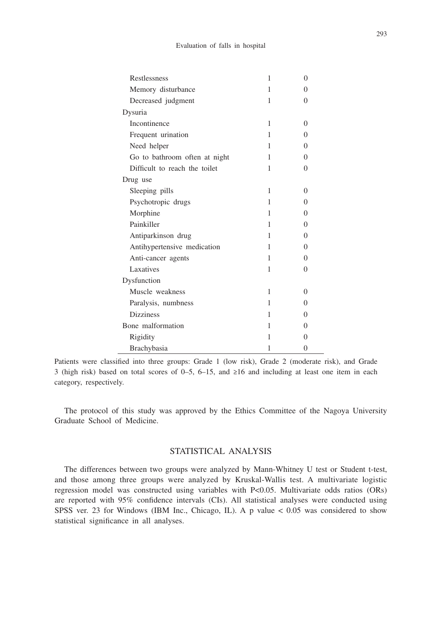| Restlessness                  | 1 | $\theta$     |
|-------------------------------|---|--------------|
| Memory disturbance            | 1 | 0            |
| Decreased judgment            | 1 | 0            |
| Dysuria                       |   |              |
| Incontinence                  | 1 | $\mathbf{0}$ |
| Frequent urination            | 1 | 0            |
| Need helper                   | 1 | $\mathbf{0}$ |
| Go to bathroom often at night | 1 | $\mathbf{0}$ |
| Difficult to reach the toilet | 1 | 0            |
| Drug use                      |   |              |
| Sleeping pills                | 1 | $\mathbf{0}$ |
| Psychotropic drugs            | 1 | 0            |
| Morphine                      | 1 | 0            |
| Painkiller                    | 1 | 0            |
| Antiparkinson drug            | 1 | 0            |
| Antihypertensive medication   | 1 | 0            |
| Anti-cancer agents            | 1 | 0            |
| Laxatives                     | 1 | $\Omega$     |
| Dysfunction                   |   |              |
| Muscle weakness               | 1 | $\Omega$     |
| Paralysis, numbness           | 1 | $\Omega$     |
| <b>Dizziness</b>              | 1 | $\mathbf{0}$ |
| Bone malformation             | 1 | $\mathbf{0}$ |
| Rigidity                      | 1 | $\mathbf{0}$ |
| Brachybasia                   | 1 | $\theta$     |

Patients were classified into three groups: Grade 1 (low risk), Grade 2 (moderate risk), and Grade 3 (high risk) based on total scores of 0–5, 6–15, and ≥16 and including at least one item in each category, respectively.

The protocol of this study was approved by the Ethics Committee of the Nagoya University Graduate School of Medicine.

## STATISTICAL ANALYSIS

The differences between two groups were analyzed by Mann-Whitney U test or Student t-test, and those among three groups were analyzed by Kruskal-Wallis test. A multivariate logistic regression model was constructed using variables with P<0.05. Multivariate odds ratios (ORs) are reported with 95% confidence intervals (CIs). All statistical analyses were conducted using SPSS ver. 23 for Windows (IBM Inc., Chicago, IL). A p value  $< 0.05$  was considered to show statistical significance in all analyses.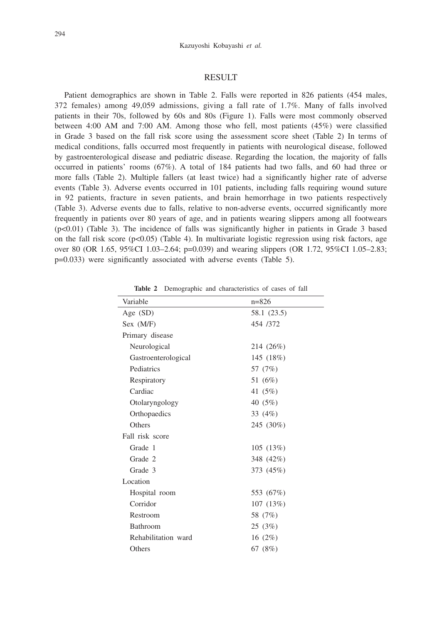#### RESULT

Patient demographics are shown in Table 2. Falls were reported in 826 patients (454 males, 372 females) among 49,059 admissions, giving a fall rate of 1.7%. Many of falls involved patients in their 70s, followed by 60s and 80s (Figure 1). Falls were most commonly observed between 4:00 AM and 7:00 AM. Among those who fell, most patients (45%) were classified in Grade 3 based on the fall risk score using the assessment score sheet (Table 2) In terms of medical conditions, falls occurred most frequently in patients with neurological disease, followed by gastroenterological disease and pediatric disease. Regarding the location, the majority of falls occurred in patients' rooms (67%). A total of 184 patients had two falls, and 60 had three or more falls (Table 2). Multiple fallers (at least twice) had a significantly higher rate of adverse events (Table 3). Adverse events occurred in 101 patients, including falls requiring wound suture in 92 patients, fracture in seven patients, and brain hemorrhage in two patients respectively (Table 3). Adverse events due to falls, relative to non-adverse events, occurred significantly more frequently in patients over 80 years of age, and in patients wearing slippers among all footwears (p<0.01) (Table 3). The incidence of falls was significantly higher in patients in Grade 3 based on the fall risk score  $(p<0.05)$  (Table 4). In multivariate logistic regression using risk factors, age over 80 (OR 1.65, 95%CI 1.03–2.64; p=0.039) and wearing slippers (OR 1.72, 95%CI 1.05–2.83; p=0.033) were significantly associated with adverse events (Table 5).

| Variable            | $n = 826$   |
|---------------------|-------------|
| Age $(SD)$          | 58.1 (23.5) |
| Sex (M/F)           | 454 /372    |
| Primary disease     |             |
| Neurological        | 214 (26%)   |
| Gastroenterological | 145 (18%)   |
| Pediatrics          | 57 (7%)     |
| Respiratory         | 51 (6%)     |
| Cardiac             | 41 (5%)     |
| Otolaryngology      | 40 $(5%)$   |
| Orthopaedics        | 33 (4%)     |
| Others              | 245 (30%)   |
| Fall risk score     |             |
| Grade 1             | 105(13%)    |
| Grade 2             | 348 (42%)   |
| Grade 3             | 373 (45%)   |
| Location            |             |
| Hospital room       | 553 (67%)   |
| Corridor            | 107(13%)    |
| Restroom            | 58 (7%)     |
| Bathroom            | 25 (3%)     |
| Rehabilitation ward | 16 $(2\%)$  |
| Others              | 67 (8%)     |

**Table 2** Demographic and characteristics of cases of fall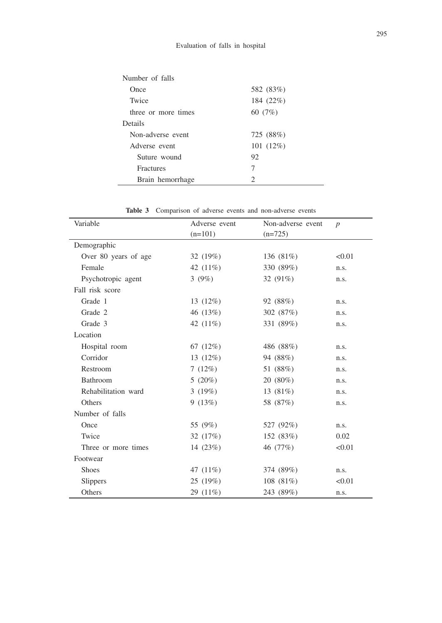| Number of falls     |                             |
|---------------------|-----------------------------|
| Once                | 582 (83%)                   |
| Twice               | 184 (22%)                   |
| three or more times | 60 (7%)                     |
| Details             |                             |
| Non-adverse event   | 725 (88%)                   |
| Adverse event       | 101(12%)                    |
| Suture wound        | 92                          |
| <b>Fractures</b>    | 7                           |
| Brain hemorrhage    | $\mathcal{D}_{\mathcal{L}}$ |
|                     |                             |

| Variable             | Adverse event | Non-adverse event | $\boldsymbol{p}$ |
|----------------------|---------------|-------------------|------------------|
|                      | $(n=101)$     | $(n=725)$         |                  |
| Demographic          |               |                   |                  |
| Over 80 years of age | 32 (19%)      | 136 (81%)         | < 0.01           |
| Female               | 42 (11%)      | 330 (89%)         | n.s.             |
| Psychotropic agent   | 3(9%)         | 32 (91%)          | n.s.             |
| Fall risk score      |               |                   |                  |
| Grade 1              | 13 $(12\%)$   | 92 (88%)          | n.s.             |
| Grade 2              | 46 (13%)      | 302 (87%)         | n.s.             |
| Grade 3              | 42 (11%)      | 331 (89%)         | n.s.             |
| Location             |               |                   |                  |
| Hospital room        | 67 $(12%)$    | 486 (88%)         | n.s.             |
| Corridor             | 13 $(12\%)$   | 94 (88%)          | n.s.             |
| Restroom             | 7(12%)        | 51 (88%)          | n.s.             |
| Bathroom             | 5 $(20\%)$    | $20(80\%)$        | n.s.             |
| Rehabilitation ward  | 3(19%)        | 13 (81%)          | n.s.             |
| Others               | 9(13%)        | 58 (87%)          | n.s.             |
| Number of falls      |               |                   |                  |
| Once                 | 55 (9%)       | 527 (92%)         | n.s.             |
| Twice                | 32 $(17%)$    | 152 (83%)         | 0.02             |
| Three or more times  | 14 $(23%)$    | 46 (77%)          | < 0.01           |
| Footwear             |               |                   |                  |
| <b>Shoes</b>         | 47 (11%)      | 374 (89%)         | n.s.             |
| <b>Slippers</b>      | 25(19%)       | 108 $(81\%)$      | < 0.01           |
| Others               | 29 (11%)      | 243 (89%)         | n.s.             |

**Table 3** Comparison of adverse events and non-adverse events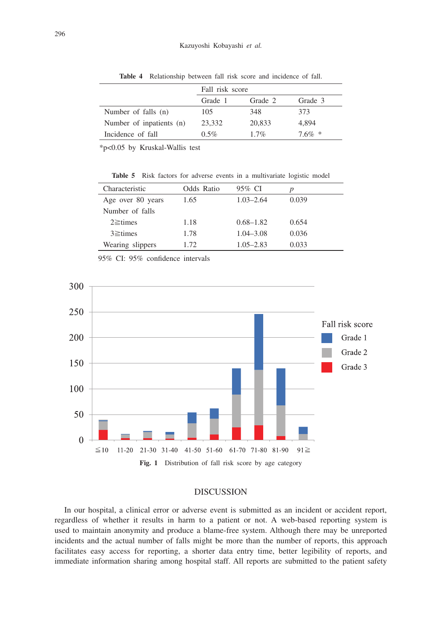|                          | Fall risk score |         |           |
|--------------------------|-----------------|---------|-----------|
|                          | Grade 1         | Grade 2 | Grade 3   |
| Number of falls (n)      | 105             | 348     | 373       |
| Number of inpatients (n) | 23,332          | 20,833  | 4,894     |
| Incidence of fall        | $0.5\%$         | 17%     | $7.6\% *$ |

**Table 4** Relationship between fall risk score and incidence of fall.

\*p<0.05 by Kruskal-Wallis test

Table 5 Risk factors for adverse events in a multivariate logistic model

| Characteristic    | Odds Ratio | 95% CI        |       |
|-------------------|------------|---------------|-------|
| Age over 80 years | 1.65       | $1.03 - 2.64$ | 0.039 |
| Number of falls   |            |               |       |
| $2 \geq$ times    | 1.18       | $0.68 - 1.82$ | 0.654 |
| $3 \geq$ times    | 1.78       | $1.04 - 3.08$ | 0.036 |
| Wearing slippers  | 1.72       | $1.05 - 2.83$ | 0.033 |
|                   |            |               |       |

95% CI: 95% confidence intervals



## DISCUSSION

In our hospital, a clinical error or adverse event is submitted as an incident or accident report, regardless of whether it results in harm to a patient or not. A web-based reporting system is used to maintain anonymity and produce a blame-free system. Although there may be unreported incidents and the actual number of falls might be more than the number of reports, this approach facilitates easy access for reporting, a shorter data entry time, better legibility of reports, and immediate information sharing among hospital staff. All reports are submitted to the patient safety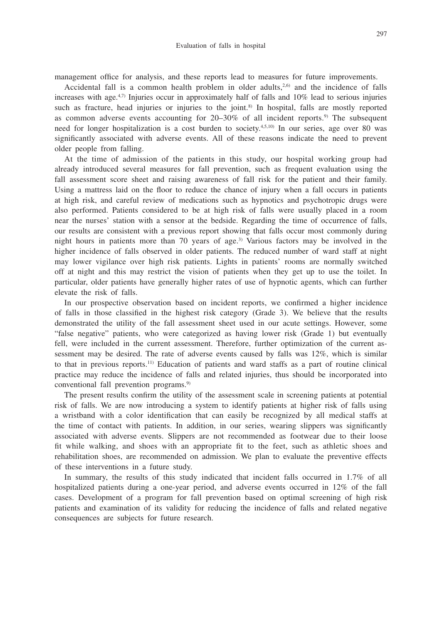management office for analysis, and these reports lead to measures for future improvements.

Accidental fall is a common health problem in older adults,<sup>2,6)</sup> and the incidence of falls increases with age.<sup>4,7)</sup> Injuries occur in approximately half of falls and  $10\%$  lead to serious injuries such as fracture, head injuries or injuries to the joint.<sup>8)</sup> In hospital, falls are mostly reported as common adverse events accounting for  $20-30\%$  of all incident reports.<sup>9)</sup> The subsequent need for longer hospitalization is a cost burden to society.4,5,10) In our series, age over 80 was significantly associated with adverse events. All of these reasons indicate the need to prevent older people from falling.

At the time of admission of the patients in this study, our hospital working group had already introduced several measures for fall prevention, such as frequent evaluation using the fall assessment score sheet and raising awareness of fall risk for the patient and their family. Using a mattress laid on the floor to reduce the chance of injury when a fall occurs in patients at high risk, and careful review of medications such as hypnotics and psychotropic drugs were also performed. Patients considered to be at high risk of falls were usually placed in a room near the nurses' station with a sensor at the bedside. Regarding the time of occurrence of falls, our results are consistent with a previous report showing that falls occur most commonly during night hours in patients more than 70 years of age.3) Various factors may be involved in the higher incidence of falls observed in older patients. The reduced number of ward staff at night may lower vigilance over high risk patients. Lights in patients' rooms are normally switched off at night and this may restrict the vision of patients when they get up to use the toilet. In particular, older patients have generally higher rates of use of hypnotic agents, which can further elevate the risk of falls.

In our prospective observation based on incident reports, we confirmed a higher incidence of falls in those classified in the highest risk category (Grade 3). We believe that the results demonstrated the utility of the fall assessment sheet used in our acute settings. However, some "false negative" patients, who were categorized as having lower risk (Grade 1) but eventually fell, were included in the current assessment. Therefore, further optimization of the current assessment may be desired. The rate of adverse events caused by falls was 12%, which is similar to that in previous reports.11) Education of patients and ward staffs as a part of routine clinical practice may reduce the incidence of falls and related injuries, thus should be incorporated into conventional fall prevention programs.<sup>9)</sup>

The present results confirm the utility of the assessment scale in screening patients at potential risk of falls. We are now introducing a system to identify patients at higher risk of falls using a wristband with a color identification that can easily be recognized by all medical staffs at the time of contact with patients. In addition, in our series, wearing slippers was significantly associated with adverse events. Slippers are not recommended as footwear due to their loose fit while walking, and shoes with an appropriate fit to the feet, such as athletic shoes and rehabilitation shoes, are recommended on admission. We plan to evaluate the preventive effects of these interventions in a future study.

In summary, the results of this study indicated that incident falls occurred in 1.7% of all hospitalized patients during a one-year period, and adverse events occurred in 12% of the fall cases. Development of a program for fall prevention based on optimal screening of high risk patients and examination of its validity for reducing the incidence of falls and related negative consequences are subjects for future research.